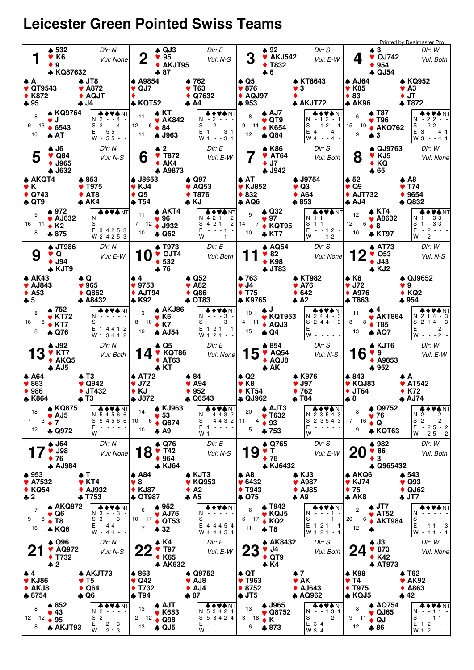## **Leicester Green Pointed Swiss Teams**

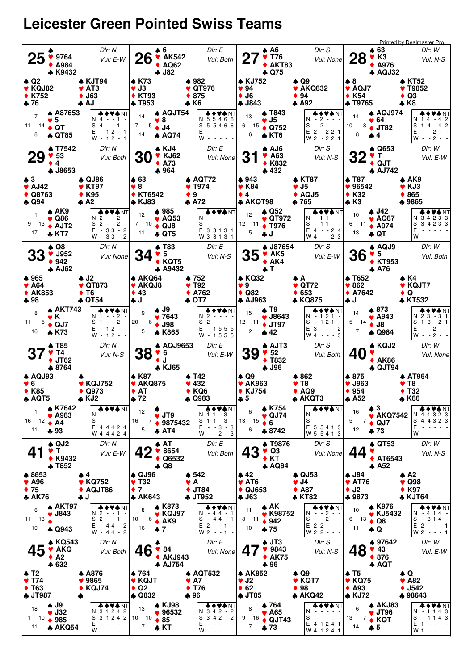## **Leicester Green Pointed Swiss Teams**